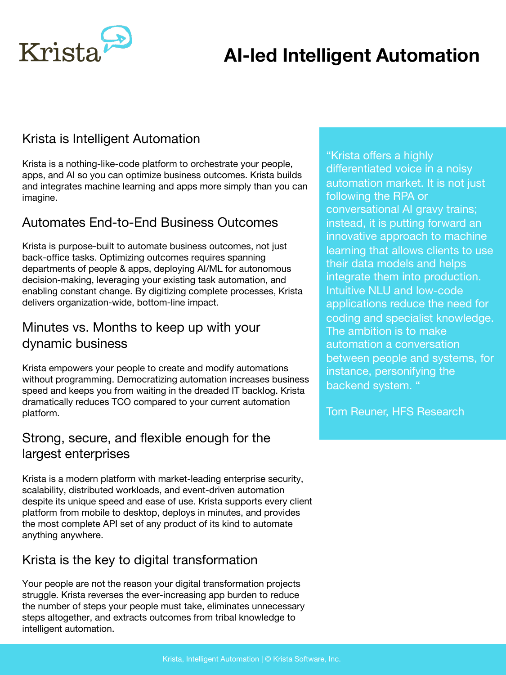# **AI-led Intelligent Automation**



### Krista is Intelligent Automation

Krista is a nothing-like-code platform to orchestrate your people, apps, and AI so you can optimize business outcomes. Krista builds and integrates machine learning and apps more simply than you can imagine.

#### Automates End-to-End Business Outcomes

Krista is purpose-built to automate business outcomes, not just back-office tasks. Optimizing outcomes requires spanning departments of people & apps, deploying AI/ML for autonomous decision-making, leveraging your existing task automation, and enabling constant change. By digitizing complete processes, Krista delivers organization-wide, bottom-line impact.

### Minutes vs. Months to keep up with your dynamic business

Krista empowers your people to create and modify automations without programming. Democratizing automation increases business speed and keeps you from waiting in the dreaded IT backlog. Krista dramatically reduces TCO compared to your current automation platform.

#### Strong, secure, and flexible enough for the largest enterprises

Krista is a modern platform with market-leading enterprise security, scalability, distributed workloads, and event-driven automation despite its unique speed and ease of use. Krista supports every client platform from mobile to desktop, deploys in minutes, and provides the most complete API set of any product of its kind to automate anything anywhere.

#### Krista is the key to digital transformation

Your people are not the reason your digital transformation projects struggle. Krista reverses the ever-increasing app burden to reduce the number of steps your people must take, eliminates unnecessary steps altogether, and extracts outcomes from tribal knowledge to intelligent automation.

"Krista offers a highly differentiated voice in a noisy automation market. It is not just following the RPA or conversational AI gravy trains; instead, it is putting forward an innovative approach to machine learning that allows clients to use their data models and helps integrate them into production. Intuitive NLU and low-code applications reduce the need for coding and specialist knowledge. The ambition is to make automation a conversation between people and systems, for instance, personifying the backend system. "

Tom Reuner, HFS Research